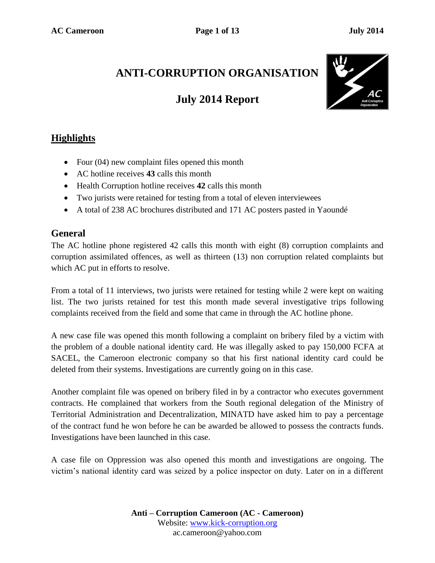# **ANTI-CORRUPTION ORGANISATION**

# **July 2014 Report**



## **Highlights**

- Four (04) new complaint files opened this month
- AC hotline receives **43** calls this month
- Health Corruption hotline receives **42** calls this month
- Two jurists were retained for testing from a total of eleven interviewees
- A total of 238 AC brochures distributed and 171 AC posters pasted in Yaoundé

#### **General**

The AC hotline phone registered 42 calls this month with eight (8) corruption complaints and corruption assimilated offences, as well as thirteen (13) non corruption related complaints but which AC put in efforts to resolve.

From a total of 11 interviews, two jurists were retained for testing while 2 were kept on waiting list. The two jurists retained for test this month made several investigative trips following complaints received from the field and some that came in through the AC hotline phone.

A new case file was opened this month following a complaint on bribery filed by a victim with the problem of a double national identity card. He was illegally asked to pay 150,000 FCFA at SACEL, the Cameroon electronic company so that his first national identity card could be deleted from their systems. Investigations are currently going on in this case.

Another complaint file was opened on bribery filed in by a contractor who executes government contracts. He complained that workers from the South regional delegation of the Ministry of Territorial Administration and Decentralization, MINATD have asked him to pay a percentage of the contract fund he won before he can be awarded be allowed to possess the contracts funds. Investigations have been launched in this case.

A case file on Oppression was also opened this month and investigations are ongoing. The victim's national identity card was seized by a police inspector on duty. Later on in a different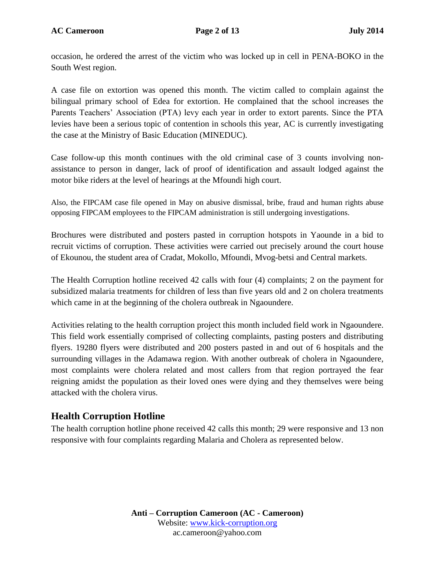occasion, he ordered the arrest of the victim who was locked up in cell in PENA-BOKO in the South West region.

A case file on extortion was opened this month. The victim called to complain against the bilingual primary school of Edea for extortion. He complained that the school increases the Parents Teachers' Association (PTA) levy each year in order to extort parents. Since the PTA levies have been a serious topic of contention in schools this year, AC is currently investigating the case at the Ministry of Basic Education (MINEDUC).

Case follow-up this month continues with the old criminal case of 3 counts involving nonassistance to person in danger, lack of proof of identification and assault lodged against the motor bike riders at the level of hearings at the Mfoundi high court.

Also, the FIPCAM case file opened in May on abusive dismissal, bribe, fraud and human rights abuse opposing FIPCAM employees to the FIPCAM administration is still undergoing investigations.

Brochures were distributed and posters pasted in corruption hotspots in Yaounde in a bid to recruit victims of corruption. These activities were carried out precisely around the court house of Ekounou, the student area of Cradat, Mokollo, Mfoundi, Mvog-betsi and Central markets.

The Health Corruption hotline received 42 calls with four (4) complaints; 2 on the payment for subsidized malaria treatments for children of less than five years old and 2 on cholera treatments which came in at the beginning of the cholera outbreak in Ngaoundere.

Activities relating to the health corruption project this month included field work in Ngaoundere. This field work essentially comprised of collecting complaints, pasting posters and distributing flyers. 19280 flyers were distributed and 200 posters pasted in and out of 6 hospitals and the surrounding villages in the Adamawa region. With another outbreak of cholera in Ngaoundere, most complaints were cholera related and most callers from that region portrayed the fear reigning amidst the population as their loved ones were dying and they themselves were being attacked with the cholera virus.

### **Health Corruption Hotline**

The health corruption hotline phone received 42 calls this month; 29 were responsive and 13 non responsive with four complaints regarding Malaria and Cholera as represented below.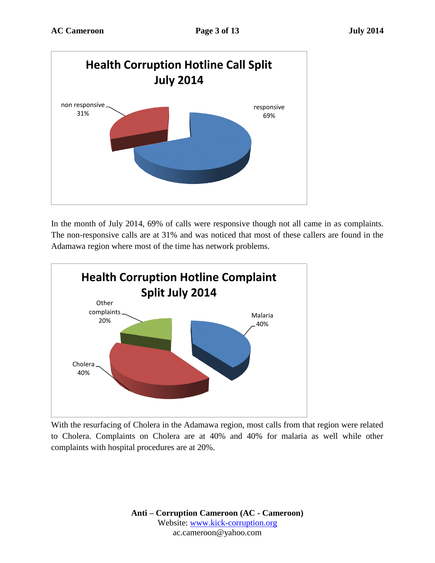

In the month of July 2014, 69% of calls were responsive though not all came in as complaints. The non-responsive calls are at 31% and was noticed that most of these callers are found in the Adamawa region where most of the time has network problems.



With the resurfacing of Cholera in the Adamawa region, most calls from that region were related to Cholera. Complaints on Cholera are at 40% and 40% for malaria as well while other complaints with hospital procedures are at 20%.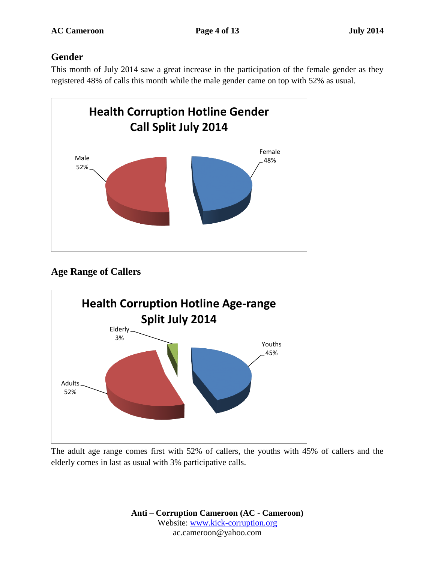### **Gender**

This month of July 2014 saw a great increase in the participation of the female gender as they registered 48% of calls this month while the male gender came on top with 52% as usual.



## **Age Range of Callers**



The adult age range comes first with 52% of callers, the youths with 45% of callers and the elderly comes in last as usual with 3% participative calls.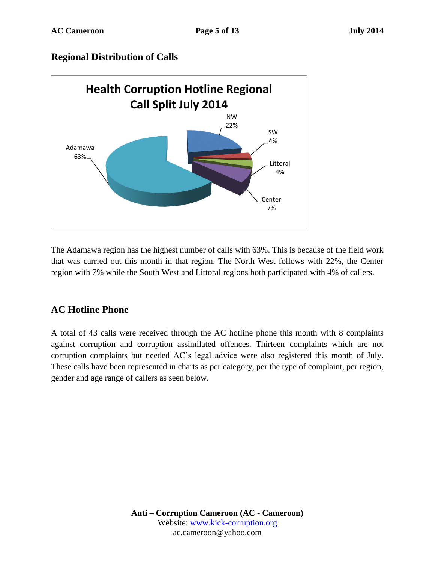#### **Regional Distribution of Calls**



The Adamawa region has the highest number of calls with 63%. This is because of the field work that was carried out this month in that region. The North West follows with 22%, the Center region with 7% while the South West and Littoral regions both participated with 4% of callers.

### **AC Hotline Phone**

A total of 43 calls were received through the AC hotline phone this month with 8 complaints against corruption and corruption assimilated offences. Thirteen complaints which are not corruption complaints but needed AC's legal advice were also registered this month of July. These calls have been represented in charts as per category, per the type of complaint, per region, gender and age range of callers as seen below.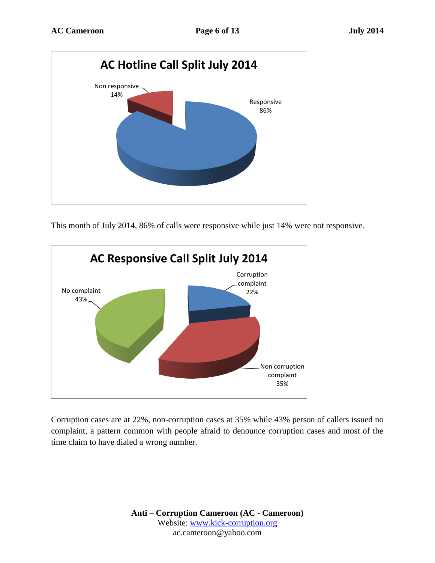

This month of July 2014, 86% of calls were responsive while just 14% were not responsive.



Corruption cases are at 22%, non-corruption cases at 35% while 43% person of callers issued no complaint, a pattern common with people afraid to denounce corruption cases and most of the time claim to have dialed a wrong number.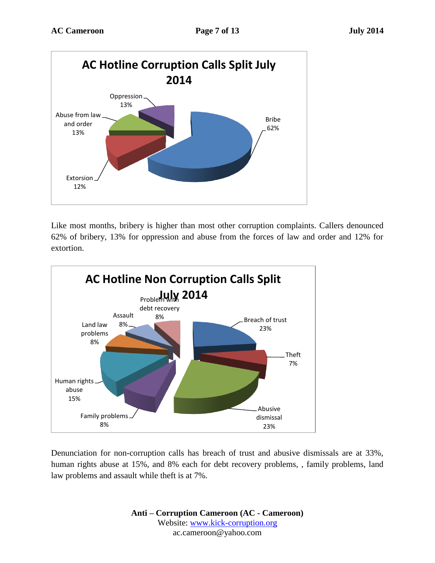

Like most months, bribery is higher than most other corruption complaints. Callers denounced 62% of bribery, 13% for oppression and abuse from the forces of law and order and 12% for extortion.



Denunciation for non-corruption calls has breach of trust and abusive dismissals are at 33%, human rights abuse at 15%, and 8% each for debt recovery problems, , family problems, land law problems and assault while theft is at 7%.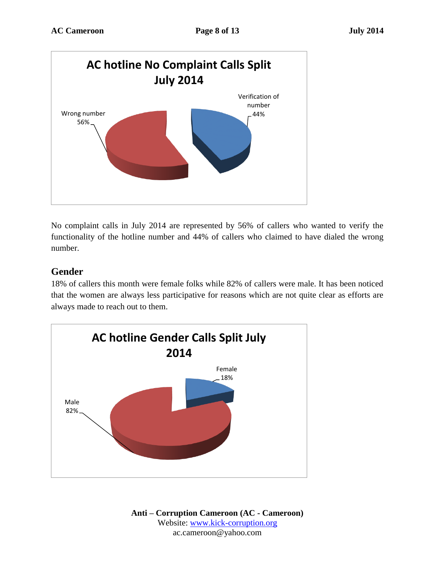

No complaint calls in July 2014 are represented by 56% of callers who wanted to verify the functionality of the hotline number and 44% of callers who claimed to have dialed the wrong number.

#### **Gender**

18% of callers this month were female folks while 82% of callers were male. It has been noticed that the women are always less participative for reasons which are not quite clear as efforts are always made to reach out to them.

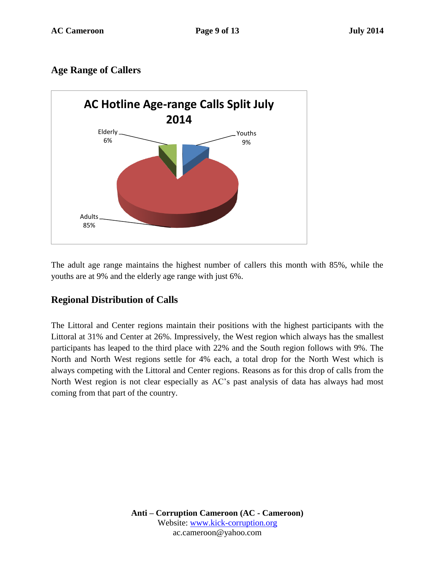### **Age Range of Callers**



The adult age range maintains the highest number of callers this month with 85%, while the youths are at 9% and the elderly age range with just 6%.

### **Regional Distribution of Calls**

The Littoral and Center regions maintain their positions with the highest participants with the Littoral at 31% and Center at 26%. Impressively, the West region which always has the smallest participants has leaped to the third place with 22% and the South region follows with 9%. The North and North West regions settle for 4% each, a total drop for the North West which is always competing with the Littoral and Center regions. Reasons as for this drop of calls from the North West region is not clear especially as AC's past analysis of data has always had most coming from that part of the country.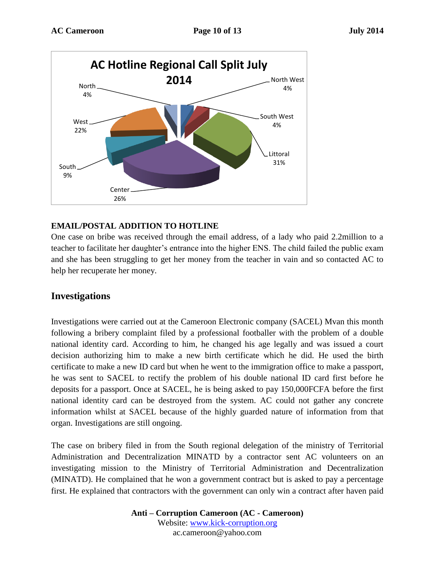

#### **EMAIL/POSTAL ADDITION TO HOTLINE**

One case on bribe was received through the email address, of a lady who paid 2.2million to a teacher to facilitate her daughter's entrance into the higher ENS. The child failed the public exam and she has been struggling to get her money from the teacher in vain and so contacted AC to help her recuperate her money.

#### **Investigations**

Investigations were carried out at the Cameroon Electronic company (SACEL) Mvan this month following a bribery complaint filed by a professional footballer with the problem of a double national identity card. According to him, he changed his age legally and was issued a court decision authorizing him to make a new birth certificate which he did. He used the birth certificate to make a new ID card but when he went to the immigration office to make a passport, he was sent to SACEL to rectify the problem of his double national ID card first before he deposits for a passport. Once at SACEL, he is being asked to pay 150,000FCFA before the first national identity card can be destroyed from the system. AC could not gather any concrete information whilst at SACEL because of the highly guarded nature of information from that organ. Investigations are still ongoing.

The case on bribery filed in from the South regional delegation of the ministry of Territorial Administration and Decentralization MINATD by a contractor sent AC volunteers on an investigating mission to the Ministry of Territorial Administration and Decentralization (MINATD). He complained that he won a government contract but is asked to pay a percentage first. He explained that contractors with the government can only win a contract after haven paid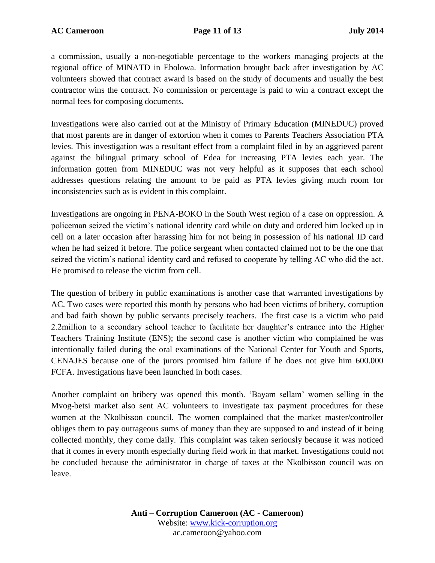a commission, usually a non-negotiable percentage to the workers managing projects at the regional office of MINATD in Ebolowa. Information brought back after investigation by AC volunteers showed that contract award is based on the study of documents and usually the best contractor wins the contract. No commission or percentage is paid to win a contract except the normal fees for composing documents.

Investigations were also carried out at the Ministry of Primary Education (MINEDUC) proved that most parents are in danger of extortion when it comes to Parents Teachers Association PTA levies. This investigation was a resultant effect from a complaint filed in by an aggrieved parent against the bilingual primary school of Edea for increasing PTA levies each year. The information gotten from MINEDUC was not very helpful as it supposes that each school addresses questions relating the amount to be paid as PTA levies giving much room for inconsistencies such as is evident in this complaint.

Investigations are ongoing in PENA-BOKO in the South West region of a case on oppression. A policeman seized the victim's national identity card while on duty and ordered him locked up in cell on a later occasion after harassing him for not being in possession of his national ID card when he had seized it before. The police sergeant when contacted claimed not to be the one that seized the victim's national identity card and refused to cooperate by telling AC who did the act. He promised to release the victim from cell.

The question of bribery in public examinations is another case that warranted investigations by AC. Two cases were reported this month by persons who had been victims of bribery, corruption and bad faith shown by public servants precisely teachers. The first case is a victim who paid 2.2million to a secondary school teacher to facilitate her daughter's entrance into the Higher Teachers Training Institute (ENS); the second case is another victim who complained he was intentionally failed during the oral examinations of the National Center for Youth and Sports, CENAJES because one of the jurors promised him failure if he does not give him 600.000 FCFA. Investigations have been launched in both cases.

Another complaint on bribery was opened this month. 'Bayam sellam' women selling in the Mvog-betsi market also sent AC volunteers to investigate tax payment procedures for these women at the Nkolbisson council. The women complained that the market master/controller obliges them to pay outrageous sums of money than they are supposed to and instead of it being collected monthly, they come daily. This complaint was taken seriously because it was noticed that it comes in every month especially during field work in that market. Investigations could not be concluded because the administrator in charge of taxes at the Nkolbisson council was on leave.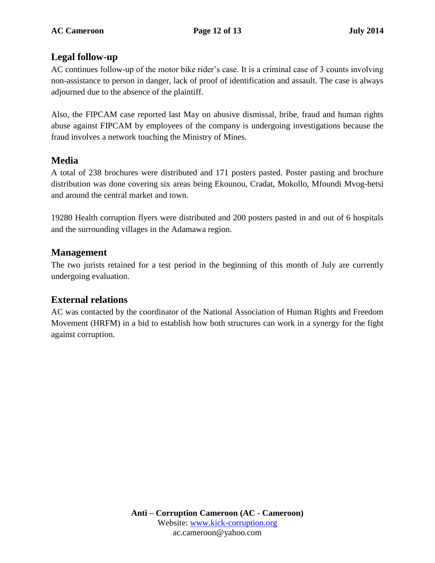#### **Legal follow-up**

AC continues follow-up of the motor bike rider's case. It is a criminal case of 3 counts involving non-assistance to person in danger, lack of proof of identification and assault. The case is always adjourned due to the absence of the plaintiff.

Also, the FIPCAM case reported last May on abusive dismissal, bribe, fraud and human rights abuse against FIPCAM by employees of the company is undergoing investigations because the fraud involves a network touching the Ministry of Mines.

#### **Media**

A total of 238 brochures were distributed and 171 posters pasted. Poster pasting and brochure distribution was done covering six areas being Ekounou, Cradat, Mokollo, Mfoundi Mvog-betsi and around the central market and town.

19280 Health corruption flyers were distributed and 200 posters pasted in and out of 6 hospitals and the surrounding villages in the Adamawa region.

#### **Management**

The two jurists retained for a test period in the beginning of this month of July are currently undergoing evaluation.

### **External relations**

AC was contacted by the coordinator of the National Association of Human Rights and Freedom Movement (HRFM) in a bid to establish how both structures can work in a synergy for the fight against corruption.